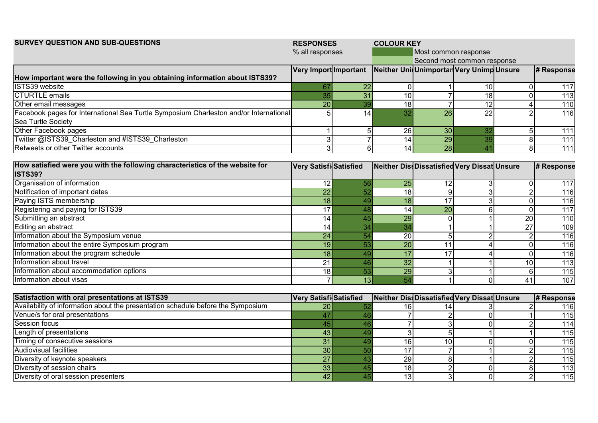| <b>SURVEY QUESTION AND SUB-QUESTIONS</b>                                              | <b>RESPONSES</b>       |                 | <b>COLOUR KEY</b> |                      |                                             |                  |                  |  |  |  |  |
|---------------------------------------------------------------------------------------|------------------------|-----------------|-------------------|----------------------|---------------------------------------------|------------------|------------------|--|--|--|--|
|                                                                                       | % all responses        |                 |                   | Most common response |                                             |                  |                  |  |  |  |  |
|                                                                                       |                        |                 |                   |                      | Second most common response                 |                  |                  |  |  |  |  |
|                                                                                       | Very Import Important  |                 |                   |                      | Neither Uni Unimportar Very UnimpUnsure     |                  | # Response       |  |  |  |  |
| How important were the following in you obtaining information about ISTS39?           |                        |                 |                   |                      |                                             |                  |                  |  |  |  |  |
| ISTS39 website                                                                        | 67                     | 22              | 0                 |                      | 10                                          | $\Omega$         | 117              |  |  |  |  |
| <b>CTURTLE</b> emails                                                                 | 35                     | $\overline{31}$ | 10                |                      | $\overline{18}$                             | $\overline{0}$   | 113              |  |  |  |  |
| Other email messages                                                                  | $\overline{20}$        | 39              | $\overline{18}$   |                      | $\overline{12}$                             | 4                | 110              |  |  |  |  |
| Facebook pages for International Sea Turtle Symposium Charleston and/or International |                        | 14              | $\overline{32}$   | $\overline{26}$      | $\overline{22}$                             |                  | 116              |  |  |  |  |
| Sea Turtle Society                                                                    |                        |                 |                   |                      |                                             |                  |                  |  |  |  |  |
| Other Facebook pages                                                                  |                        | 5               | 26                | 30                   | 32                                          | $5\overline{)}$  | 111              |  |  |  |  |
| Twitter @ISTS39 Charleston and #ISTS39 Charleston                                     | 3                      | $\overline{7}$  | 14                | 29                   | 39                                          | $\boldsymbol{8}$ | $\overline{111}$ |  |  |  |  |
| Retweets or other Twitter accounts                                                    | 3                      | 6               | 14                | 28                   | 41                                          | 8                | $\overline{111}$ |  |  |  |  |
| How satisfied were you with the following characteristics of the website for          |                        |                 |                   |                      |                                             |                  |                  |  |  |  |  |
| <b>ISTS39?</b>                                                                        | Very Satisfi Satisfied |                 |                   |                      | Neither DissDissatisfied Very Dissat Unsure |                  | # Response       |  |  |  |  |
| Organisation of information                                                           |                        |                 |                   |                      |                                             |                  |                  |  |  |  |  |
| Notification of important dates                                                       | 12                     | 56              | 25                | 12                   | 3                                           | $\overline{0}$   | 117              |  |  |  |  |
|                                                                                       | 22                     | 52              | 18                | 9                    | $\overline{3}$                              | $\overline{2}$   | 116              |  |  |  |  |
| Paying ISTS membership                                                                | 18                     | 49              | 18                | 17                   | $\overline{3}$                              | $\overline{0}$   | 116              |  |  |  |  |
| Registering and paying for ISTS39                                                     | 17                     | 48              | 14                | $\overline{20}$      | $6 \overline{6}$                            | $\mathbf 0$      | 117              |  |  |  |  |
| Submitting an abstract                                                                | 14                     | 45              | 29                |                      |                                             | 20               | $\frac{110}{10}$ |  |  |  |  |
| Editing an abstract                                                                   | 14                     | 34              | 34                |                      |                                             | 27               | 109              |  |  |  |  |
| Information about the Symposium venue                                                 | $\overline{24}$        | 54              | 20                | 5                    |                                             | $\overline{2}$   | 116              |  |  |  |  |
| Information about the entire Symposium program                                        | 19                     | 53              | $\overline{20}$   | 11                   |                                             | $\overline{0}$   | 116              |  |  |  |  |
| Information about the program schedule                                                | 18                     | 49              | 17                | $\overline{17}$      |                                             | $\overline{0}$   | 116              |  |  |  |  |
| Information about travel                                                              | 21                     | 46              | $\overline{32}$   |                      |                                             | 10               | 113              |  |  |  |  |
| Information about accommodation options                                               | 18                     | 53              | 29                | $\overline{3}$       |                                             | $\,6$            | 115              |  |  |  |  |
| IInformation about visas                                                              |                        | $\overline{13}$ | 54                |                      | $\overline{0}$                              | $\overline{41}$  | 107              |  |  |  |  |
| <b>Satisfaction with oral presentations at ISTS39</b>                                 | Very Satisfi Satisfied |                 |                   |                      | Neither DissDissatisfiedVery Dissat Unsure  |                  | # Response       |  |  |  |  |
| Availability of information about the presentation schedule before the Symposium      | 20                     | 52              | 16                | 14                   |                                             | $\overline{2}$   | 116              |  |  |  |  |
| Venue/s for oral presentations                                                        | 47                     | 46              |                   |                      |                                             |                  | 115              |  |  |  |  |
| Session focus                                                                         | 45                     | 46              | $\overline{7}$    |                      | $\Omega$                                    | $\overline{2}$   | 114              |  |  |  |  |
| Length of presentations                                                               | 43                     | 49              | 3 <sup>1</sup>    |                      |                                             |                  | 115              |  |  |  |  |
| Timing of consecutive sessions                                                        | $\overline{31}$        | 49              | 16                | 10                   | $\overline{0}$                              | $\Omega$         | $\overline{115}$ |  |  |  |  |
| <b>Audiovisual facilities</b>                                                         | $\overline{30}$        | 50              | 17                |                      |                                             | $\overline{2}$   | 115              |  |  |  |  |
| Diversity of keynote speakers                                                         | $\overline{27}$        | 43              | 29                | 8                    |                                             | $\overline{2}$   | 115              |  |  |  |  |
| Diversity of session chairs                                                           | 33                     | 45              | $\overline{18}$   | $\overline{2}$       | $\overline{0}$                              | $\boldsymbol{8}$ | $\overline{113}$ |  |  |  |  |
| Diversity of oral session presenters                                                  | 42                     | 45              | 13                | зI                   | $\Omega$                                    | $\overline{2}$   | 115              |  |  |  |  |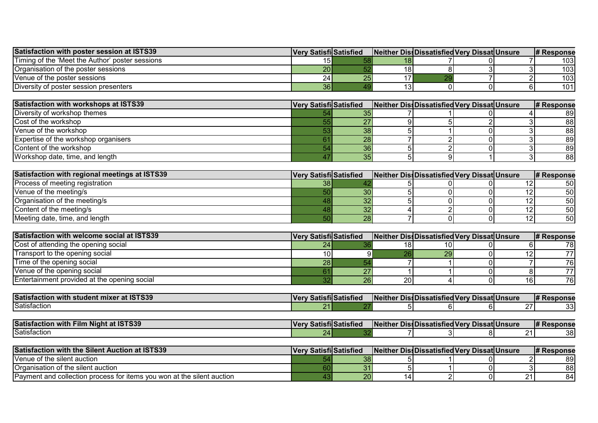| Satisfaction with poster session at ISTS39      | <b>IVery SatisfilSatisfied</b> | <b>INeither Dissolissatisfied Very DissatIUnsure</b> |  | <b>I# Response</b> |
|-------------------------------------------------|--------------------------------|------------------------------------------------------|--|--------------------|
| Timing of the 'Meet the Author' poster sessions |                                |                                                      |  | 103I               |
| lOrganisation of the poster sessions_           | 20 <sub>l</sub>                |                                                      |  | 103I               |
| Nenue of the poster sessions                    | 24 I                           |                                                      |  | 103I               |
| Diversity of poster session presenters.         | 36 <sub>h</sub>                |                                                      |  | 101                |

| Satisfaction with workshops at ISTS39       | Very Satisfi Satisfied |    |  | Neither Diss Dissatisfied Very Dissat Unsure | <b>I# Response</b> |
|---------------------------------------------|------------------------|----|--|----------------------------------------------|--------------------|
| Diversity of workshop themes                |                        |    |  |                                              | 891                |
| Cost of the workshop                        |                        |    |  |                                              | 881                |
| <b>IVenue of the workshop</b>               |                        | 38 |  |                                              | 881                |
| <b>Expertise of the workshop organisers</b> |                        | 28 |  |                                              | 891                |
| Content of the workshop                     |                        | 36 |  |                                              | 89                 |
| Workshop date, time, and length             |                        |    |  |                                              | 881                |

| Satisfaction with regional meetings at ISTS39 | Very Satisfil Satisfied |    |  | Neither Diss Dissatisfied Very Dissat Unsure | <b>I# Response</b> |
|-----------------------------------------------|-------------------------|----|--|----------------------------------------------|--------------------|
| Process of meeting registration               |                         |    |  |                                              | 50I                |
| Venue of the meeting/s                        |                         |    |  |                                              | 50I                |
| Organisation of the meeting/s                 |                         |    |  |                                              | 50 I               |
| Content of the meeting/s                      |                         |    |  |                                              | 50 I               |
| Meeting date, time, and length                |                         | 28 |  |                                              | 50                 |

| Satisfaction with welcome social at ISTS39   | <b>Very Satisfil Satisfied</b> |    |    | Neither Diss Dissatisfied Very Dissat Unsure |  | <b>I# Response</b> |
|----------------------------------------------|--------------------------------|----|----|----------------------------------------------|--|--------------------|
| Cost of attending the opening social         |                                |    |    |                                              |  |                    |
| Transport to the opening social              |                                |    |    |                                              |  |                    |
| Time of the opening social                   | zoi                            |    |    |                                              |  |                    |
| Venue of the opening social                  |                                |    |    |                                              |  |                    |
| Entertainment provided at the opening social |                                | 26 | 20 |                                              |  | 761                |

| <b>Satisfaction</b><br>+ ICTC2C<br>⊦student<br>with<br>mixer<br>au จาจวร | $V$ $\Omega$ | . .<br><b>SatisfilSatisfied</b> | $\blacksquare$<br>.<br>.<br><b>INeither</b> | .<br>DissDissatisfied Verv | - -<br>a al IV | <b>DissatIUnsure</b> | I <i>ш</i> г<br><b>I# Response</b> |
|--------------------------------------------------------------------------|--------------|---------------------------------|---------------------------------------------|----------------------------|----------------|----------------------|------------------------------------|
| <b>Satisfaction</b>                                                      |              |                                 |                                             | oι                         |                | --                   | nn.<br>ັບປ                         |

| $-2$ 197220<br><b>Satisfaction</b><br>Filn.<br>.<br>Niaht<br>with<br>. סטס<br>- 61 | <b>Vei</b> | . .<br>- atistierد. | $\sim$<br>.<br>.Neithe <sup>.</sup> | - 155<br><b>DissiDissatisfied</b> | $ -$<br>4.L I<br>I VAM<br>. . | DissatIUnsure | # Response |
|------------------------------------------------------------------------------------|------------|---------------------|-------------------------------------|-----------------------------------|-------------------------------|---------------|------------|
| Satisfaction                                                                       |            |                     |                                     | .                                 |                               |               | 38         |

| <b>Satisfaction with the Silent Auction at ISTS39</b>                   | <b>Very Satisfi Satisfied</b> |          |  | <b>INeither DissiDissatisfied Very DissatIUnsure</b> | <b>I# Response</b> |
|-------------------------------------------------------------------------|-------------------------------|----------|--|------------------------------------------------------|--------------------|
| <b>IVenue of the silent auction</b>                                     |                               | 38       |  |                                                      | 891                |
| <b>Organisation of the silent auction</b>                               |                               | ົ<br>ັບເ |  |                                                      | 88                 |
| 'Payment and collection process for items you won at the silent auction |                               | 20       |  |                                                      | 84'                |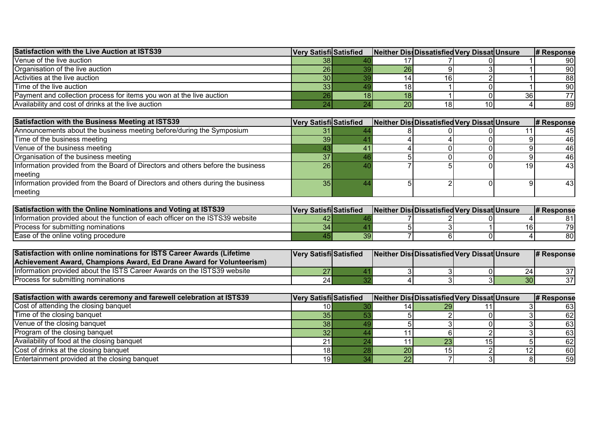| <b>Satisfaction with the Live Auction at ISTS39</b>                  | <b>Very Satisfi Satisfied</b> | Neither DissDissatisfied Very Dissat Unsure |                 |    | <b>I# Response</b> |
|----------------------------------------------------------------------|-------------------------------|---------------------------------------------|-----------------|----|--------------------|
| Venue of the live auction                                            | 38 I                          |                                             |                 |    | 90I                |
| Organisation of the live auction                                     | 26                            | 26                                          |                 |    | 90I                |
| Activities at the live auction                                       | 30 <sup>1</sup>               |                                             | 16 <sub>1</sub> |    | 88                 |
| Time of the live auction                                             | 33 <sub>1</sub>               |                                             |                 |    | 90I                |
| Payment and collection process for items you won at the live auction |                               |                                             |                 | 36 |                    |
| Availability and cost of drinks at the live auction                  |                               | 20 <sub>l</sub>                             | 18 <sub>1</sub> |    | 891                |

| Satisfaction with the Business Meeting at ISTS39                                | Very Satisfi Satisfied | Neither Diss Dissatisfied Very Dissat Unsure |  |    | # Response |
|---------------------------------------------------------------------------------|------------------------|----------------------------------------------|--|----|------------|
| Announcements about the business meeting before/during the Symposium            |                        |                                              |  |    | 45         |
| Time of the business meeting                                                    | 391                    |                                              |  |    | 46         |
| Venue of the business meeting                                                   |                        |                                              |  |    | 46         |
| Organisation of the business meeting                                            |                        |                                              |  |    | 46         |
| Information provided from the Board of Directors and others before the business | 26                     |                                              |  | 19 | 43         |
| meeting                                                                         |                        |                                              |  |    |            |
| Information provided from the Board of Directors and others during the business | 35 <sub>1</sub>        |                                              |  |    | 43         |
| meeting                                                                         |                        |                                              |  |    |            |

| <b>Satisfaction with the Online Nominations and Voting at ISTS39</b>          | <b>IVery SatisfilSatisfied</b> | Neither DissDissatisfied Very Dissat Unsure |  | # Response |
|-------------------------------------------------------------------------------|--------------------------------|---------------------------------------------|--|------------|
| Information provided about the function of each officer on the ISTS39 website | 42                             |                                             |  |            |
| Process for submitting nominations                                            | 341                            |                                             |  | 791        |
| Ease of the online voting procedure                                           |                                |                                             |  | 80         |

| Satisfaction with online nominations for ISTS Career Awards (Lifetime    | <b>Very Satisfil Satisfied</b> |  | Neither Diss Dissatisfied Very Dissat Unsure |    | # Response |
|--------------------------------------------------------------------------|--------------------------------|--|----------------------------------------------|----|------------|
| Achievement Award. Champions Award. Ed Drane Award for Volunteerism)     |                                |  |                                              |    |            |
| IInformation provided about the ISTS Career Awards on the ISTS39 website | 27                             |  |                                              | 24 | 37         |
| Process for submitting nominations                                       | 24                             |  |                                              | 30 | 37         |

| Satisfaction with awards ceremony and farewell celebration at ISTS39 | <b>Very Satisfi Satisfied</b> |    | Neither Diss Dissatisfied Very Dissat Unsure |  | # Response |
|----------------------------------------------------------------------|-------------------------------|----|----------------------------------------------|--|------------|
| Cost of attending the closing banquet                                |                               |    | 29 I                                         |  |            |
| Time of the closing banquet                                          |                               |    |                                              |  | 62         |
| Venue of the closing banquet                                         | 38 <sub>1</sub>               |    |                                              |  | 631        |
| Program of the closing banquet                                       |                               |    |                                              |  | 63         |
| Availability of food at the closing banquet                          |                               |    |                                              |  | 62         |
| Cost of drinks at the closing banquet                                |                               | 20 |                                              |  | 60         |
| Entertainment provided at the closing banquet                        | 19I                           | 22 |                                              |  | 59         |